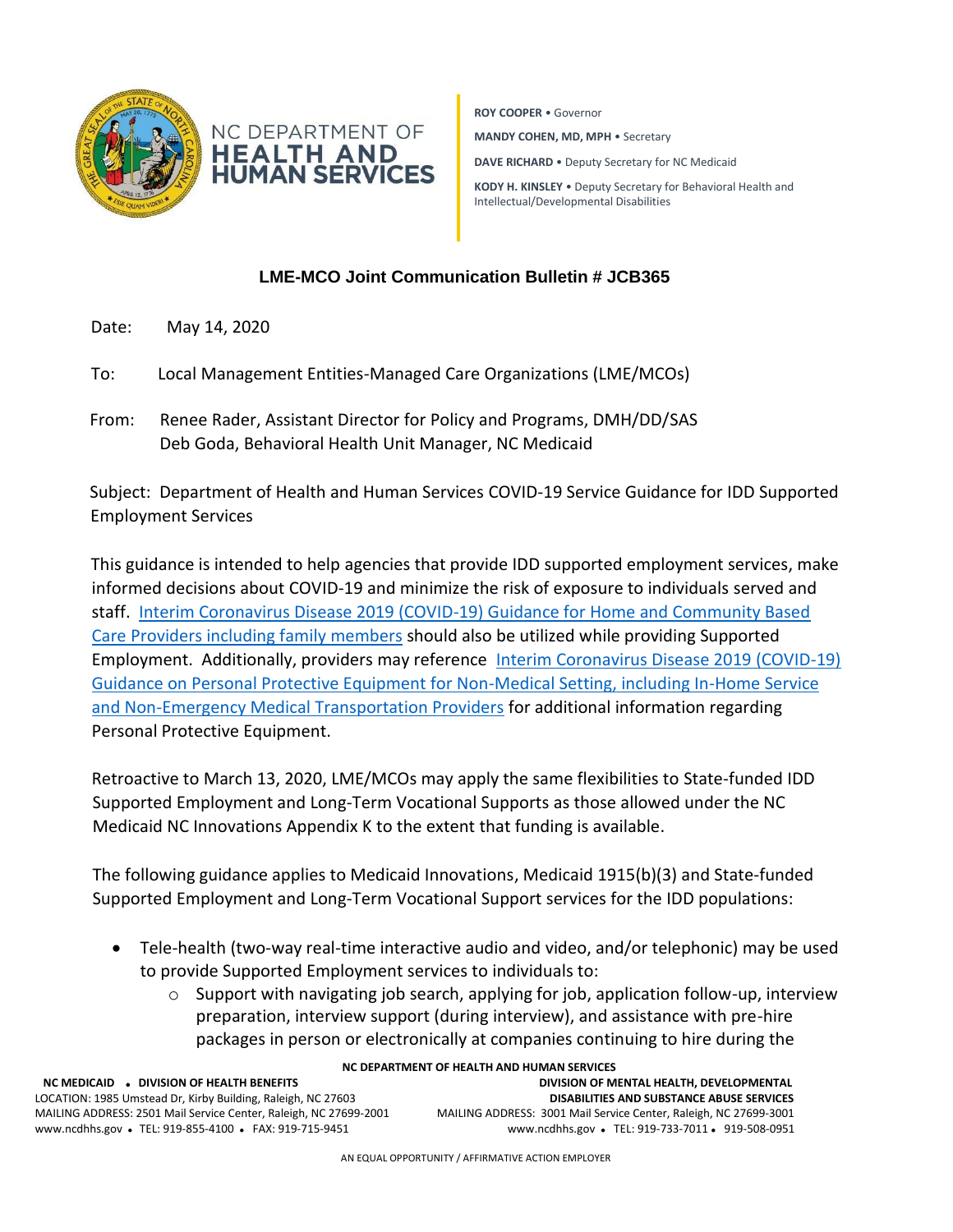

**ROY COOPER** • Governor **MANDY COHEN, MD, MPH** • Secretary **DAVE RICHARD** • Deputy Secretary for NC Medicaid **KODY H. KINSLEY** • Deputy Secretary for Behavioral Health and Intellectual/Developmental Disabilities

## **LME-MCO Joint Communication Bulletin # JCB365**

- Date: May 14, 2020
- To: Local Management Entities-Managed Care Organizations (LME/MCOs)
- From: Renee Rader, Assistant Director for Policy and Programs, DMH/DD/SAS Deb Goda, Behavioral Health Unit Manager, NC Medicaid

Subject: Department of Health and Human Services COVID-19 Service Guidance for IDD Supported Employment Services

This guidance is intended to help agencies that provide IDD supported employment services, make informed decisions about COVID-19 and minimize the risk of exposure to individuals served and staff. [Interim Coronavirus Disease 2019 \(COVID-19\) Guidance for Home and Community Based](https://files.nc.gov/ncdhhs/documents/files/covid-19/NC-Interim-Guidance-for-BHIDD-In-Home-Service-Providers.pdf)  [Care Providers including family members](https://files.nc.gov/ncdhhs/documents/files/covid-19/NC-Interim-Guidance-for-BHIDD-In-Home-Service-Providers.pdf) should also be utilized while providing Supported Employment. Additionally, providers may reference [Interim Coronavirus Disease 2019 \(COVID-19\)](https://files.nc.gov/ncdhhs/documents/files/covid-19/NC-Interim-Guidance-for-PPE-in-Non-Medical-Setting.pdf)  [Guidance on Personal Protective Equipment for Non-Medical Setting, including In-Home Service](https://files.nc.gov/ncdhhs/documents/files/covid-19/NC-Interim-Guidance-for-PPE-in-Non-Medical-Setting.pdf)  [and Non-Emergency Medical Transportation Providers](https://files.nc.gov/ncdhhs/documents/files/covid-19/NC-Interim-Guidance-for-PPE-in-Non-Medical-Setting.pdf) for additional information regarding Personal Protective Equipment.

Retroactive to March 13, 2020, LME/MCOs may apply the same flexibilities to State-funded IDD Supported Employment and Long-Term Vocational Supports as those allowed under the NC Medicaid NC Innovations Appendix K to the extent that funding is available.

The following guidance applies to Medicaid Innovations, Medicaid 1915(b)(3) and State-funded Supported Employment and Long-Term Vocational Support services for the IDD populations:

- Tele-health (two-way real-time interactive audio and video, and/or telephonic) may be used to provide Supported Employment services to individuals to:
	- $\circ$  Support with navigating job search, applying for job, application follow-up, interview preparation, interview support (during interview), and assistance with pre-hire packages in person or electronically at companies continuing to hire during the

**NC DEPARTMENT OF HEALTH AND HUMAN SERVICES NC MEDICAID** ⚫ **DIVISION OF HEALTH BENEFITS DIVISION OF MENTAL HEALTH, DEVELOPMENTAL**  LOCATION: 1985 Umstead Dr, Kirby Building, Raleigh, NC 27603 **DISABILITIES AND SUBSTANCE ABUSE SERVICES** MAILING ADDRESS: 2501 Mail Service Center, Raleigh, NC 27699-2001 MAILING ADDRESS: 3001 Mail Service Center, Raleigh, NC 27699-3001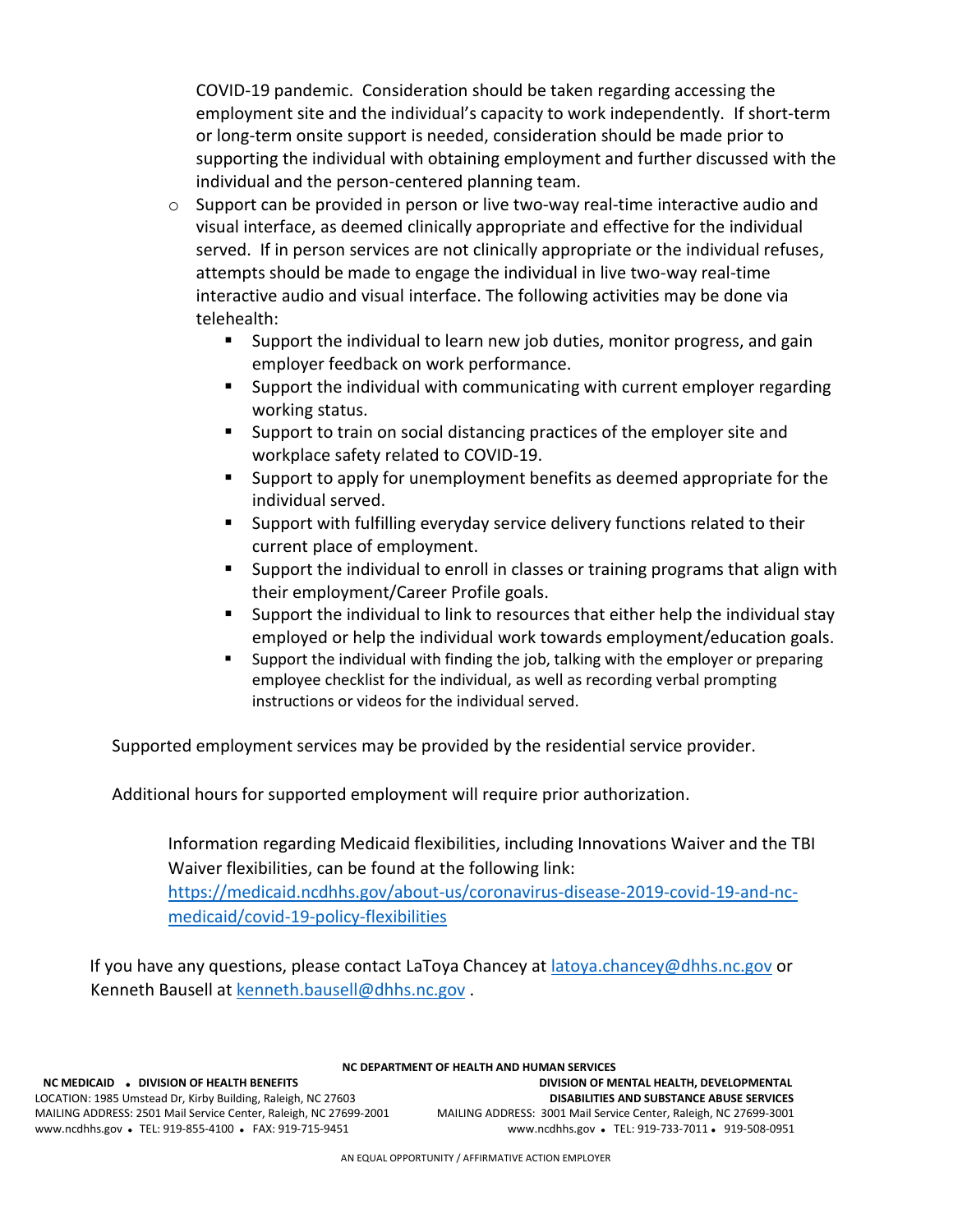COVID-19 pandemic. Consideration should be taken regarding accessing the employment site and the individual's capacity to work independently. If short-term or long-term onsite support is needed, consideration should be made prior to supporting the individual with obtaining employment and further discussed with the individual and the person-centered planning team.

- o Support can be provided in person or live two-way real-time interactive audio and visual interface, as deemed clinically appropriate and effective for the individual served. If in person services are not clinically appropriate or the individual refuses, attempts should be made to engage the individual in live two-way real-time interactive audio and visual interface. The following activities may be done via telehealth:
	- Support the individual to learn new job duties, monitor progress, and gain employer feedback on work performance.
	- Support the individual with communicating with current employer regarding working status.
	- Support to train on social distancing practices of the employer site and workplace safety related to COVID-19.
	- Support to apply for unemployment benefits as deemed appropriate for the individual served.
	- Support with fulfilling everyday service delivery functions related to their current place of employment.
	- Support the individual to enroll in classes or training programs that align with their employment/Career Profile goals.
	- Support the individual to link to resources that either help the individual stay employed or help the individual work towards employment/education goals.
	- Support the individual with finding the job, talking with the employer or preparing employee checklist for the individual, as well as recording verbal prompting instructions or videos for the individual served.

Supported employment services may be provided by the residential service provider.

Additional hours for supported employment will require prior authorization.

Information regarding Medicaid flexibilities, including Innovations Waiver and the TBI Waiver flexibilities, can be found at the following link:

[https://medicaid.ncdhhs.gov/about-us/coronavirus-disease-2019-covid-19-and-nc](https://medicaid.ncdhhs.gov/about-us/coronavirus-disease-2019-covid-19-and-nc-medicaid/covid-19-policy-flexibilities)[medicaid/covid-19-policy-flexibilities](https://medicaid.ncdhhs.gov/about-us/coronavirus-disease-2019-covid-19-and-nc-medicaid/covid-19-policy-flexibilities)

If you have any questions, please contact LaToya Chancey at [latoya.chancey@dhhs.nc.gov](mailto:latoya.chancey@dhhs.nc.gov) or Kenneth Bausell at [kenneth.bausell@dhhs.nc.gov](mailto:kenneth.bausell@dhhs.nc.gov) .

## **NC DEPARTMENT OF HEALTH AND HUMAN SERVICES**

www.ncdhhs.gov • TEL: 919-855-4100 • FAX: 919-715-9451

 **NC MEDICAID** ⚫ **DIVISION OF HEALTH BENEFITS DIVISION OF MENTAL HEALTH, DEVELOPMENTAL**  LOCATION: 1985 Umstead Dr, Kirby Building, Raleigh, NC 27603 **DISABILITIES AND SUBSTANCE ABUSE SERVICES** MAILING ADDRESS: 2501 Mail Service Center, Raleigh, NC 27699-2001 MAILING ADDRESS: 3001 Mail Service Center, Raleigh, NC 27699-3001